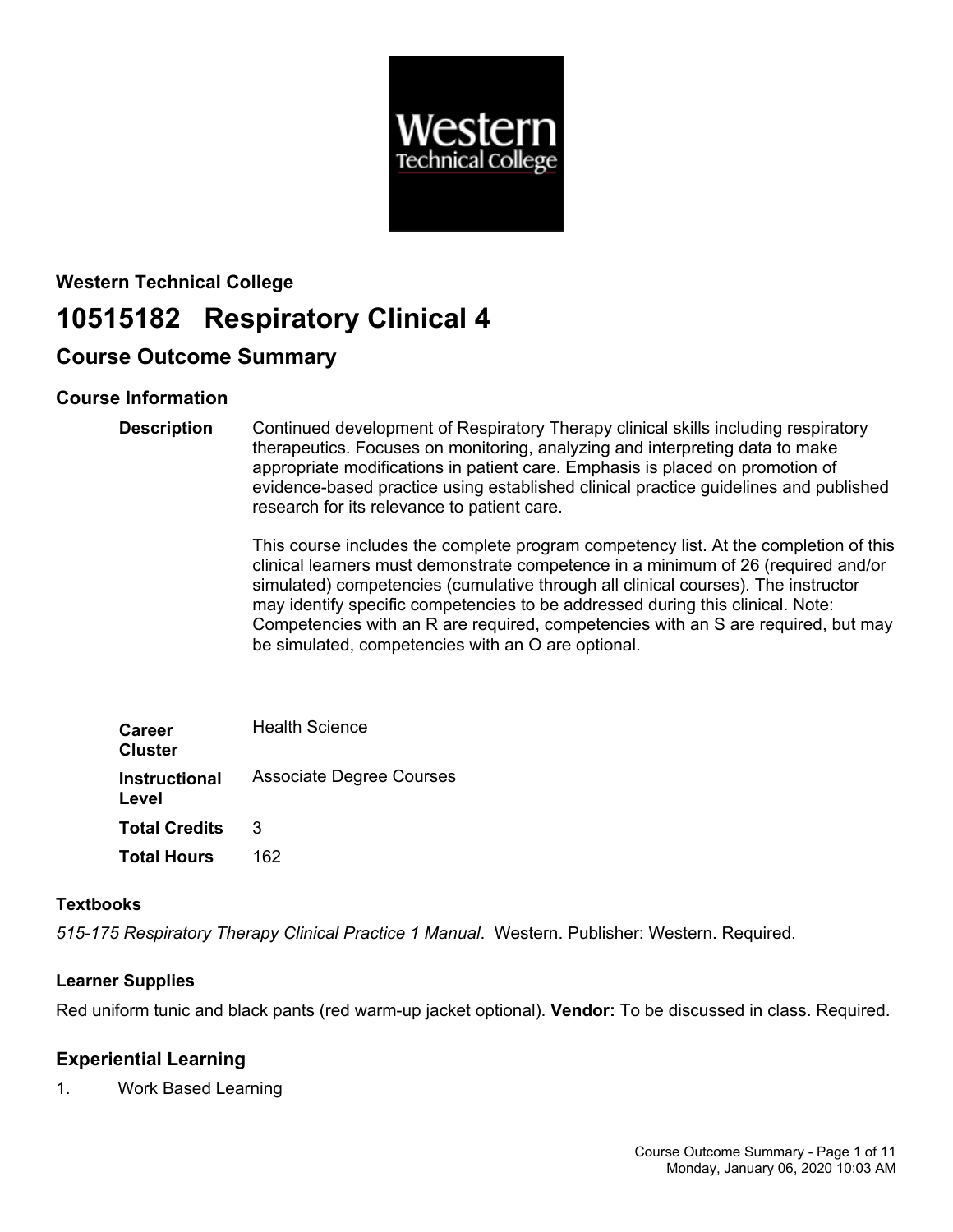

# **Western Technical College 10515182 Respiratory Clinical 4**

# **Course Outcome Summary**

# **Course Information**

**Description** Continued development of Respiratory Therapy clinical skills including respiratory therapeutics. Focuses on monitoring, analyzing and interpreting data to make appropriate modifications in patient care. Emphasis is placed on promotion of evidence-based practice using established clinical practice guidelines and published research for its relevance to patient care.

> This course includes the complete program competency list. At the completion of this clinical learners must demonstrate competence in a minimum of 26 (required and/or simulated) competencies (cumulative through all clinical courses). The instructor may identify specific competencies to be addressed during this clinical. Note: Competencies with an R are required, competencies with an S are required, but may be simulated, competencies with an O are optional.

| <b>Career</b><br><b>Cluster</b> | <b>Health Science</b>           |
|---------------------------------|---------------------------------|
| <b>Instructional</b><br>Level   | <b>Associate Degree Courses</b> |
| <b>Total Credits</b>            | 3                               |
| <b>Total Hours</b>              | 162                             |

### **Textbooks**

*515-175 Respiratory Therapy Clinical Practice 1 Manual*. Western. Publisher: Western. Required.

# **Learner Supplies**

Red uniform tunic and black pants (red warm-up jacket optional). **Vendor:** To be discussed in class. Required.

# **Experiential Learning**

1. Work Based Learning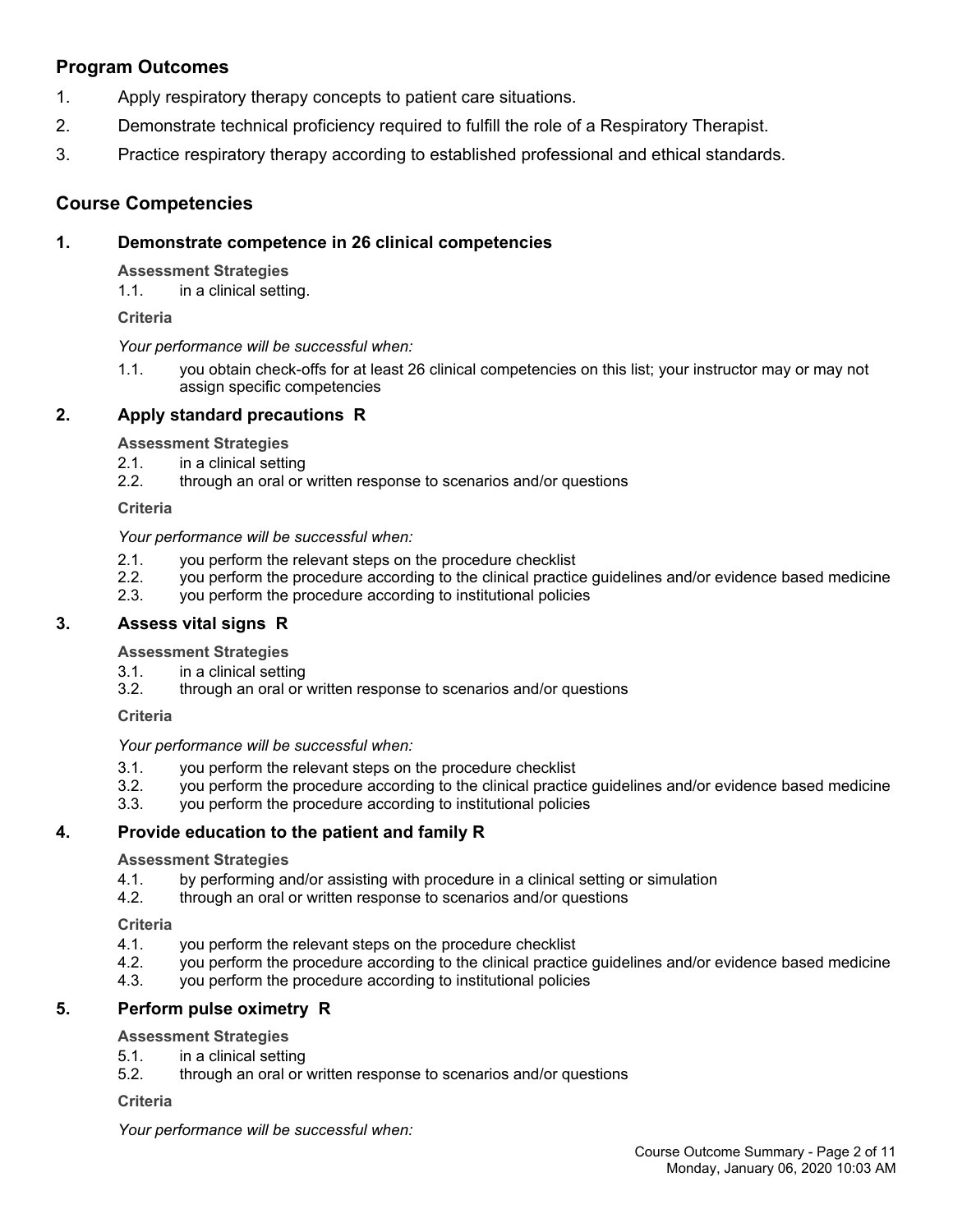# **Program Outcomes**

- 1. Apply respiratory therapy concepts to patient care situations.
- 2. Demonstrate technical proficiency required to fulfill the role of a Respiratory Therapist.
- 3. Practice respiratory therapy according to established professional and ethical standards.

# **Course Competencies**

### **1. Demonstrate competence in 26 clinical competencies**

**Assessment Strategies**

1.1. in a clinical setting.

**Criteria**

*Your performance will be successful when:*

1.1. you obtain check-offs for at least 26 clinical competencies on this list; your instructor may or may not assign specific competencies

## **2. Apply standard precautions R**

**Assessment Strategies**

- 2.1. in a clinical setting
- 2.2. through an oral or written response to scenarios and/or questions

**Criteria**

*Your performance will be successful when:*

- 2.1. you perform the relevant steps on the procedure checklist
- 2.2. you perform the procedure according to the clinical practice guidelines and/or evidence based medicine
- 2.3. you perform the procedure according to institutional policies

### **3. Assess vital signs R**

**Assessment Strategies**

- 3.1. in a clinical setting
- 3.2. through an oral or written response to scenarios and/or questions

**Criteria**

*Your performance will be successful when:*

- 3.1. you perform the relevant steps on the procedure checklist
- 3.2. you perform the procedure according to the clinical practice guidelines and/or evidence based medicine
- 3.3. you perform the procedure according to institutional policies

### **4. Provide education to the patient and family R**

#### **Assessment Strategies**

- 4.1. by performing and/or assisting with procedure in a clinical setting or simulation<br>4.2. through an oral or written response to scenarios and/or questions
- through an oral or written response to scenarios and/or questions

**Criteria**

- 4.1. you perform the relevant steps on the procedure checklist
- 4.2. you perform the procedure according to the clinical practice guidelines and/or evidence based medicine
- 4.3. you perform the procedure according to institutional policies

### **5. Perform pulse oximetry R**

### **Assessment Strategies**

- 5.1. in a clinical setting
- 5.2. through an oral or written response to scenarios and/or questions

#### **Criteria**

*Your performance will be successful when:*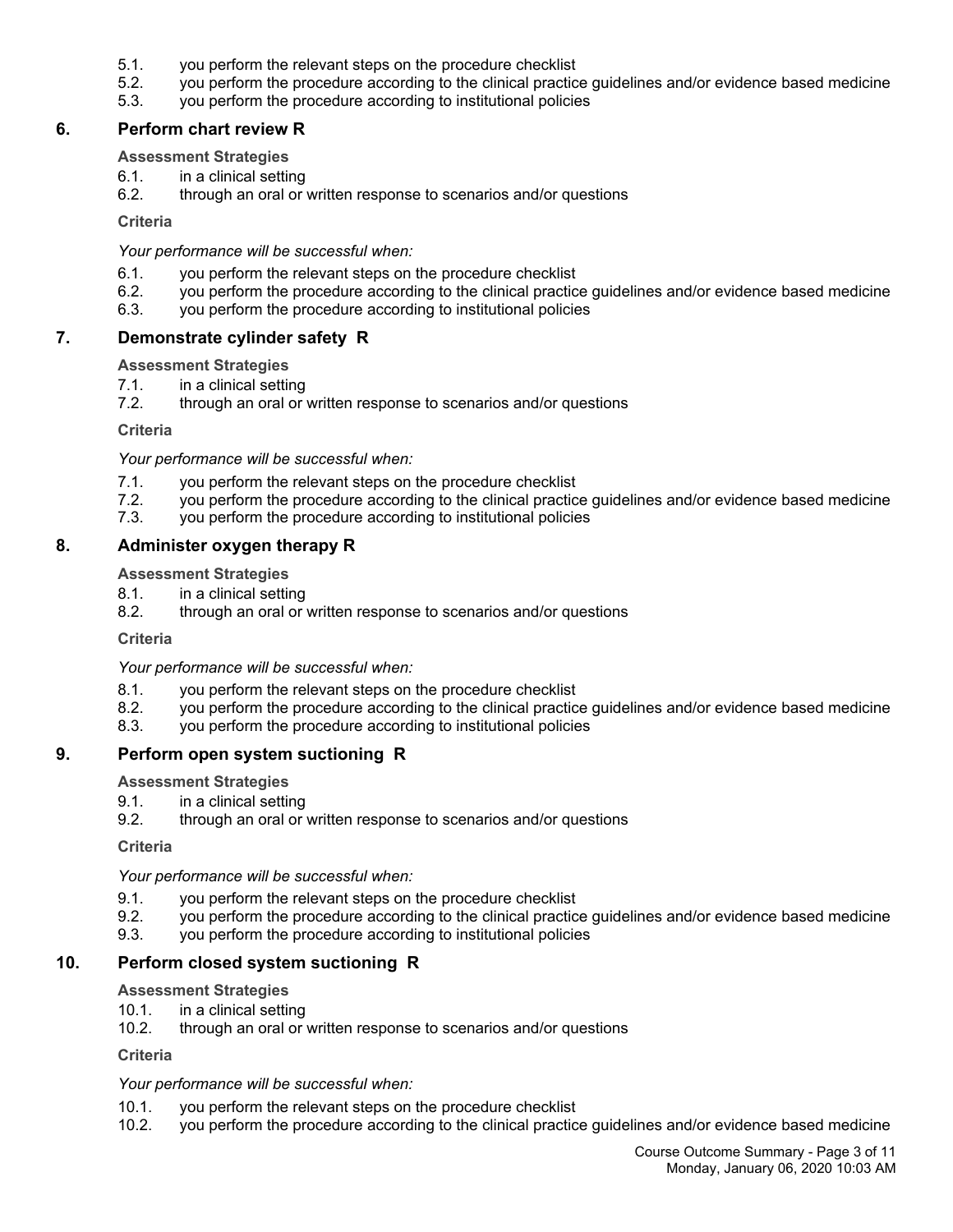- 5.1. you perform the relevant steps on the procedure checklist
- 5.2. you perform the procedure according to the clinical practice guidelines and/or evidence based medicine
- 5.3. you perform the procedure according to institutional policies

### **6. Perform chart review R**

### **Assessment Strategies**

- 6.1. in a clinical setting
- 6.2. through an oral or written response to scenarios and/or questions

#### **Criteria**

*Your performance will be successful when:*

- 6.1. you perform the relevant steps on the procedure checklist
- 6.2. you perform the procedure according to the clinical practice guidelines and/or evidence based medicine
- 6.3. you perform the procedure according to institutional policies

### **7. Demonstrate cylinder safety R**

#### **Assessment Strategies**

- 7.1. in a clinical setting
- 7.2. through an oral or written response to scenarios and/or questions

#### **Criteria**

*Your performance will be successful when:*

- 7.1. you perform the relevant steps on the procedure checklist
- 7.2. you perform the procedure according to the clinical practice guidelines and/or evidence based medicine
- 7.3. you perform the procedure according to institutional policies

### **8. Administer oxygen therapy R**

**Assessment Strategies**

- 8.1. in a clinical setting
- 8.2. through an oral or written response to scenarios and/or questions

#### **Criteria**

*Your performance will be successful when:*

- 8.1. you perform the relevant steps on the procedure checklist
- 8.2. you perform the procedure according to the clinical practice guidelines and/or evidence based medicine
- 8.3. you perform the procedure according to institutional policies

### **9. Perform open system suctioning R**

**Assessment Strategies**

- 9.1. in a clinical setting
- 9.2. through an oral or written response to scenarios and/or questions

**Criteria**

*Your performance will be successful when:*

- 9.1. you perform the relevant steps on the procedure checklist
- 9.2. you perform the procedure according to the clinical practice guidelines and/or evidence based medicine
- 9.3. you perform the procedure according to institutional policies

### **10. Perform closed system suctioning R**

#### **Assessment Strategies**

- 10.1. in a clinical setting
- 10.2. through an oral or written response to scenarios and/or questions

**Criteria**

#### *Your performance will be successful when:*

- 10.1. you perform the relevant steps on the procedure checklist
- 10.2. you perform the procedure according to the clinical practice guidelines and/or evidence based medicine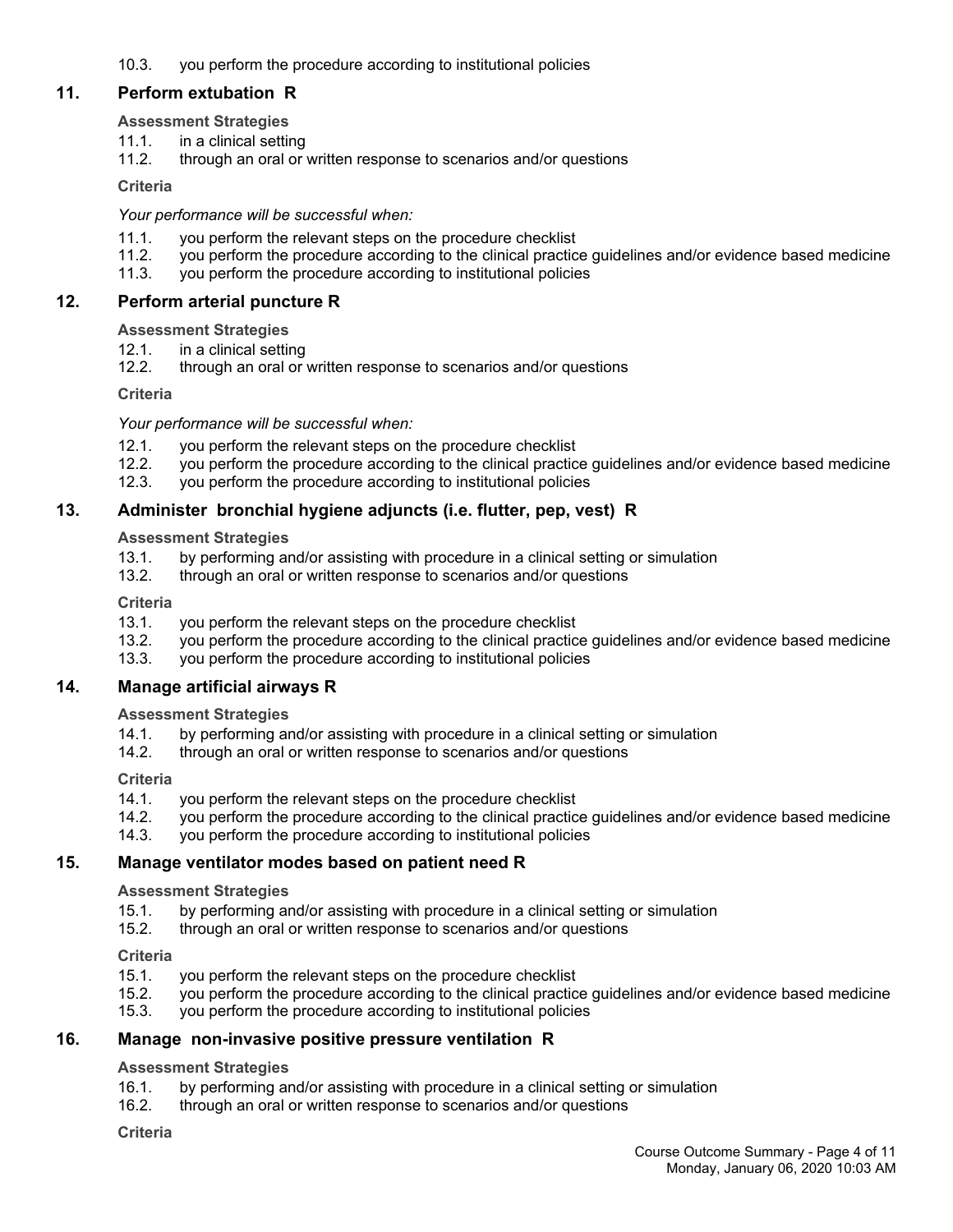10.3. you perform the procedure according to institutional policies

### **11. Perform extubation R**

### **Assessment Strategies**

- 11.1. in a clinical setting
- 11.2. through an oral or written response to scenarios and/or questions

### **Criteria**

### *Your performance will be successful when:*

- 11.1. you perform the relevant steps on the procedure checklist
- 11.2. you perform the procedure according to the clinical practice guidelines and/or evidence based medicine
- 11.3. you perform the procedure according to institutional policies

### **12. Perform arterial puncture R**

### **Assessment Strategies**

- 12.1. in a clinical setting
- 12.2. through an oral or written response to scenarios and/or questions

### **Criteria**

### *Your performance will be successful when:*

- 12.1. you perform the relevant steps on the procedure checklist
- 12.2. you perform the procedure according to the clinical practice guidelines and/or evidence based medicine
- 12.3. you perform the procedure according to institutional policies

### **13. Administer bronchial hygiene adjuncts (i.e. flutter, pep, vest) R**

### **Assessment Strategies**

- 13.1. by performing and/or assisting with procedure in a clinical setting or simulation
- 13.2. through an oral or written response to scenarios and/or questions

### **Criteria**

- 13.1. you perform the relevant steps on the procedure checklist
- 13.2. you perform the procedure according to the clinical practice guidelines and/or evidence based medicine
- 13.3. you perform the procedure according to institutional policies

### **14. Manage artificial airways R**

### **Assessment Strategies**

- 14.1. by performing and/or assisting with procedure in a clinical setting or simulation
- 14.2. through an oral or written response to scenarios and/or questions

### **Criteria**

- 14.1. you perform the relevant steps on the procedure checklist
- 14.2. you perform the procedure according to the clinical practice guidelines and/or evidence based medicine
- 14.3. you perform the procedure according to institutional policies

### **15. Manage ventilator modes based on patient need R**

### **Assessment Strategies**

- 15.1. by performing and/or assisting with procedure in a clinical setting or simulation
- 15.2. through an oral or written response to scenarios and/or questions

### **Criteria**

- 15.1. you perform the relevant steps on the procedure checklist<br>15.2. vou perform the procedure according to the clinical practic
- 15.2. you perform the procedure according to the clinical practice guidelines and/or evidence based medicine
- 15.3. you perform the procedure according to institutional policies

### **16. Manage non-invasive positive pressure ventilation R**

### **Assessment Strategies**

- 16.1. by performing and/or assisting with procedure in a clinical setting or simulation
- 16.2. through an oral or written response to scenarios and/or questions

### **Criteria**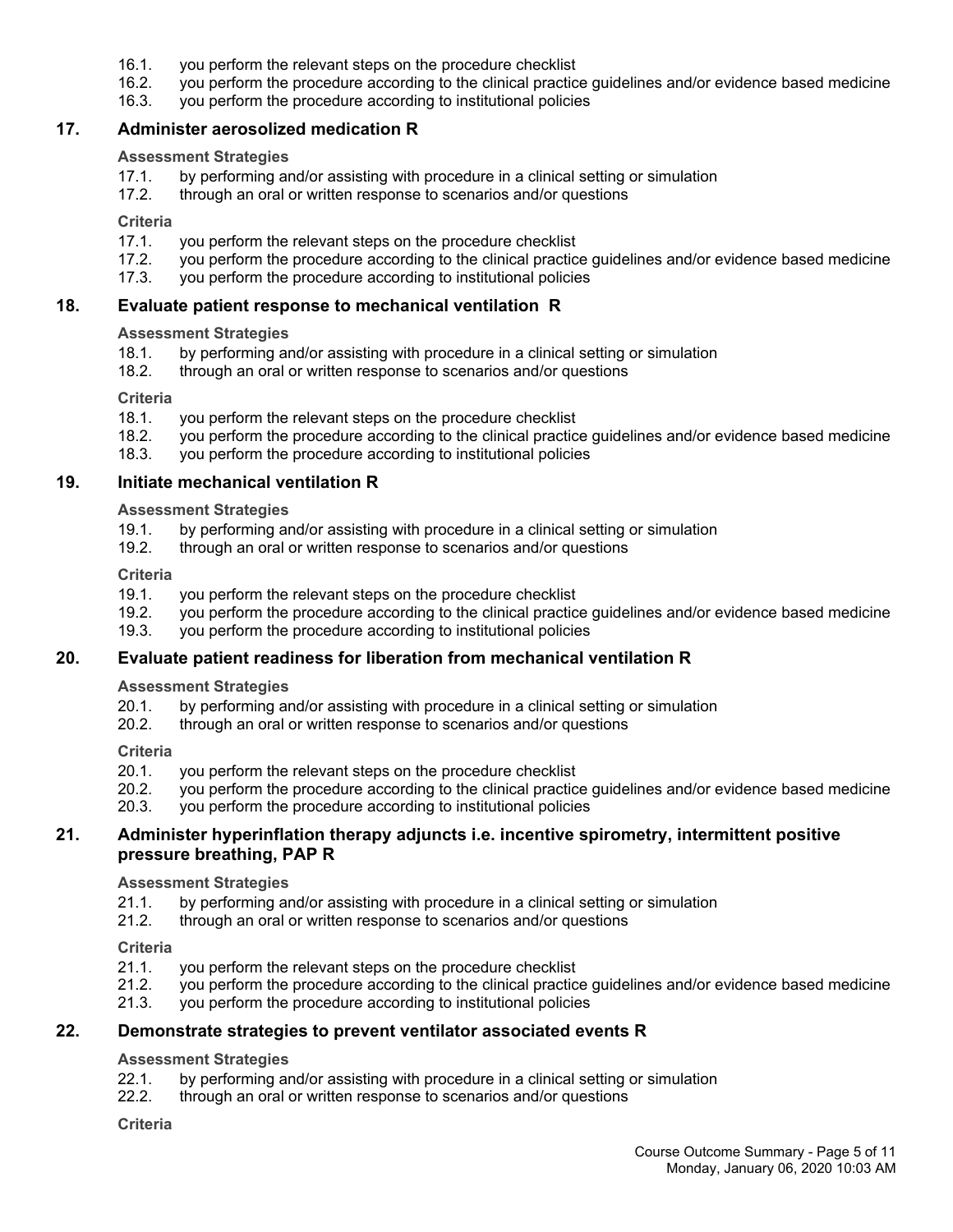- 16.1. you perform the relevant steps on the procedure checklist
- 16.2. you perform the procedure according to the clinical practice guidelines and/or evidence based medicine
- 16.3. you perform the procedure according to institutional policies

### **17. Administer aerosolized medication R**

#### **Assessment Strategies**

- 17.1. by performing and/or assisting with procedure in a clinical setting or simulation
- 17.2. through an oral or written response to scenarios and/or questions

#### **Criteria**

- 17.1. you perform the relevant steps on the procedure checklist
- 17.2. you perform the procedure according to the clinical practice guidelines and/or evidence based medicine
- 17.3. you perform the procedure according to institutional policies

### **18. Evaluate patient response to mechanical ventilation R**

### **Assessment Strategies**

- 18.1. by performing and/or assisting with procedure in a clinical setting or simulation 18.2. through an oral or written response to scenarios and/or questions
- through an oral or written response to scenarios and/or questions

#### **Criteria**

- 18.1. you perform the relevant steps on the procedure checklist
- 18.2. you perform the procedure according to the clinical practice guidelines and/or evidence based medicine
- 18.3. you perform the procedure according to institutional policies

#### **19. Initiate mechanical ventilation R**

#### **Assessment Strategies**

- 19.1. by performing and/or assisting with procedure in a clinical setting or simulation<br>19.2. through an oral or written response to scenarios and/or questions
- through an oral or written response to scenarios and/or questions

#### **Criteria**

- 19.1. you perform the relevant steps on the procedure checklist
- 19.2. you perform the procedure according to the clinical practice guidelines and/or evidence based medicine
- 19.3. you perform the procedure according to institutional policies

### **20. Evaluate patient readiness for liberation from mechanical ventilation R**

### **Assessment Strategies**

- 20.1. by performing and/or assisting with procedure in a clinical setting or simulation
- 20.2. through an oral or written response to scenarios and/or questions

#### **Criteria**

- 20.1. you perform the relevant steps on the procedure checklist
- 20.2. you perform the procedure according to the clinical practice guidelines and/or evidence based medicine
- 20.3. you perform the procedure according to institutional policies

### **21. Administer hyperinflation therapy adjuncts i.e. incentive spirometry, intermittent positive pressure breathing, PAP R**

#### **Assessment Strategies**

- 21.1. by performing and/or assisting with procedure in a clinical setting or simulation
- 21.2. through an oral or written response to scenarios and/or questions

#### **Criteria**

- 21.1. you perform the relevant steps on the procedure checklist
- 21.2. you perform the procedure according to the clinical practice guidelines and/or evidence based medicine
- 21.3. you perform the procedure according to institutional policies

### **22. Demonstrate strategies to prevent ventilator associated events R**

#### **Assessment Strategies**

- 22.1. by performing and/or assisting with procedure in a clinical setting or simulation
- 22.2. through an oral or written response to scenarios and/or questions

#### **Criteria**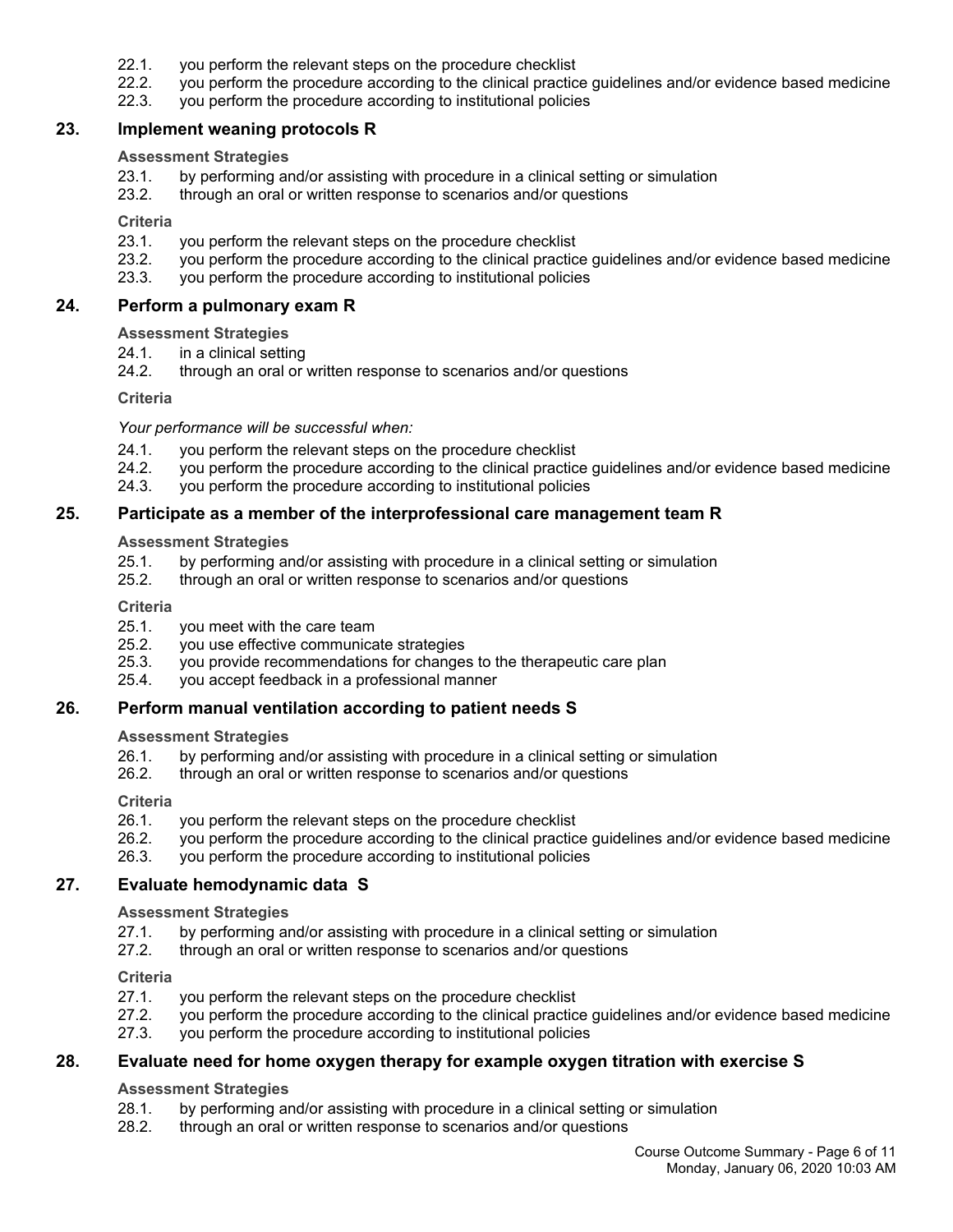- 22.1. you perform the relevant steps on the procedure checklist
- 22.2. you perform the procedure according to the clinical practice guidelines and/or evidence based medicine
- 22.3. you perform the procedure according to institutional policies

### **23. Implement weaning protocols R**

#### **Assessment Strategies**

- 23.1. by performing and/or assisting with procedure in a clinical setting or simulation
- 23.2. through an oral or written response to scenarios and/or questions

#### **Criteria**

- 23.1. you perform the relevant steps on the procedure checklist
- 23.2. you perform the procedure according to the clinical practice guidelines and/or evidence based medicine
- 23.3. you perform the procedure according to institutional policies

#### **24. Perform a pulmonary exam R**

### **Assessment Strategies**

- 24.1. in a clinical setting
- 24.2. through an oral or written response to scenarios and/or questions

#### **Criteria**

#### *Your performance will be successful when:*

- 24.1. you perform the relevant steps on the procedure checklist
- 24.2. you perform the procedure according to the clinical practice guidelines and/or evidence based medicine
- 24.3. you perform the procedure according to institutional policies

### **25. Participate as a member of the interprofessional care management team R**

### **Assessment Strategies**

- 25.1. by performing and/or assisting with procedure in a clinical setting or simulation
- 25.2. through an oral or written response to scenarios and/or questions

#### **Criteria**

- 25.1. you meet with the care team
- 25.2. you use effective communicate strategies
- 25.3. you provide recommendations for changes to the therapeutic care plan
- 25.4. you accept feedback in a professional manner

### **26. Perform manual ventilation according to patient needs S**

#### **Assessment Strategies**

- 26.1. by performing and/or assisting with procedure in a clinical setting or simulation
- 26.2. through an oral or written response to scenarios and/or questions

#### **Criteria**

- 26.1. you perform the relevant steps on the procedure checklist
- 26.2. you perform the procedure according to the clinical practice guidelines and/or evidence based medicine
- 26.3. you perform the procedure according to institutional policies

### **27. Evaluate hemodynamic data S**

#### **Assessment Strategies**

- 27.1. by performing and/or assisting with procedure in a clinical setting or simulation
- 27.2. through an oral or written response to scenarios and/or questions

#### **Criteria**

- 27.1. you perform the relevant steps on the procedure checklist
- 27.2. you perform the procedure according to the clinical practice guidelines and/or evidence based medicine
- 27.3. you perform the procedure according to institutional policies

### **28. Evaluate need for home oxygen therapy for example oxygen titration with exercise S**

### **Assessment Strategies**

- 28.1. by performing and/or assisting with procedure in a clinical setting or simulation
- 28.2. through an oral or written response to scenarios and/or questions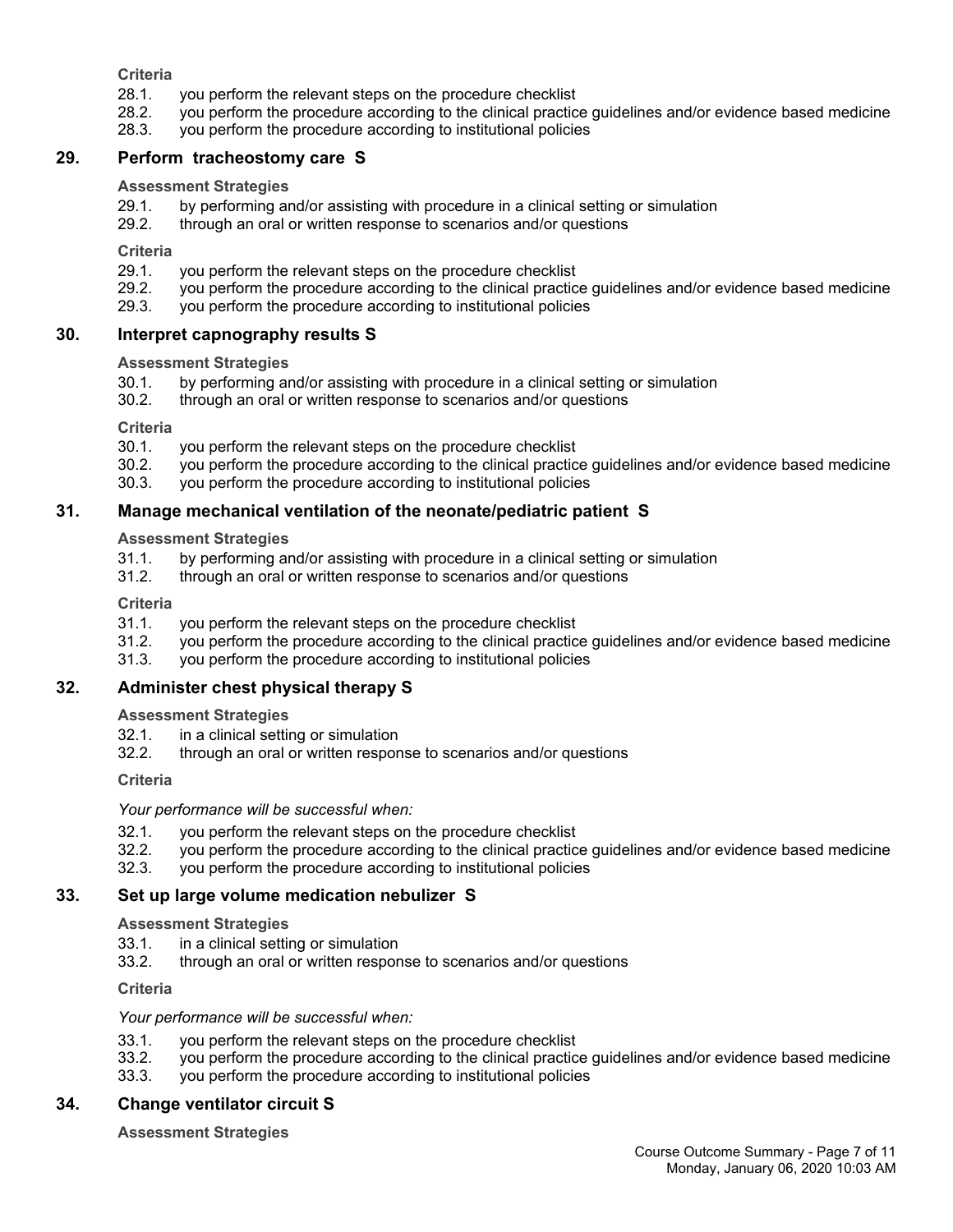**Criteria**

- 28.1. you perform the relevant steps on the procedure checklist
- 28.2. you perform the procedure according to the clinical practice guidelines and/or evidence based medicine
- 28.3. you perform the procedure according to institutional policies

### **29. Perform tracheostomy care S**

### **Assessment Strategies**

- 29.1. by performing and/or assisting with procedure in a clinical setting or simulation
- 29.2. through an oral or written response to scenarios and/or questions

**Criteria**

- 29.1. you perform the relevant steps on the procedure checklist
- 29.2. you perform the procedure according to the clinical practice guidelines and/or evidence based medicine 29.3. vou perform the procedure according to institutional policies
- you perform the procedure according to institutional policies

### **30. Interpret capnography results S**

### **Assessment Strategies**

- 30.1. by performing and/or assisting with procedure in a clinical setting or simulation
- 30.2. through an oral or written response to scenarios and/or questions

**Criteria**

- 30.1. you perform the relevant steps on the procedure checklist
- 30.2. you perform the procedure according to the clinical practice guidelines and/or evidence based medicine
- 30.3. you perform the procedure according to institutional policies

### **31. Manage mechanical ventilation of the neonate/pediatric patient S**

**Assessment Strategies**

- 31.1. by performing and/or assisting with procedure in a clinical setting or simulation
- 31.2. through an oral or written response to scenarios and/or questions

**Criteria**

- 31.1. you perform the relevant steps on the procedure checklist
- 31.2. you perform the procedure according to the clinical practice guidelines and/or evidence based medicine
- 31.3. you perform the procedure according to institutional policies

### **32. Administer chest physical therapy S**

**Assessment Strategies**

- 32.1. in a clinical setting or simulation
- 32.2. through an oral or written response to scenarios and/or questions

**Criteria**

*Your performance will be successful when:*

- 32.1. you perform the relevant steps on the procedure checklist
- 32.2. you perform the procedure according to the clinical practice guidelines and/or evidence based medicine
- 32.3. you perform the procedure according to institutional policies

### **33. Set up large volume medication nebulizer S**

**Assessment Strategies**

- 33.1. in a clinical setting or simulation
- 33.2. through an oral or written response to scenarios and/or questions

**Criteria**

#### *Your performance will be successful when:*

- 33.1. you perform the relevant steps on the procedure checklist
- 33.2. you perform the procedure according to the clinical practice guidelines and/or evidence based medicine
- 33.3. you perform the procedure according to institutional policies

### **34. Change ventilator circuit S**

**Assessment Strategies**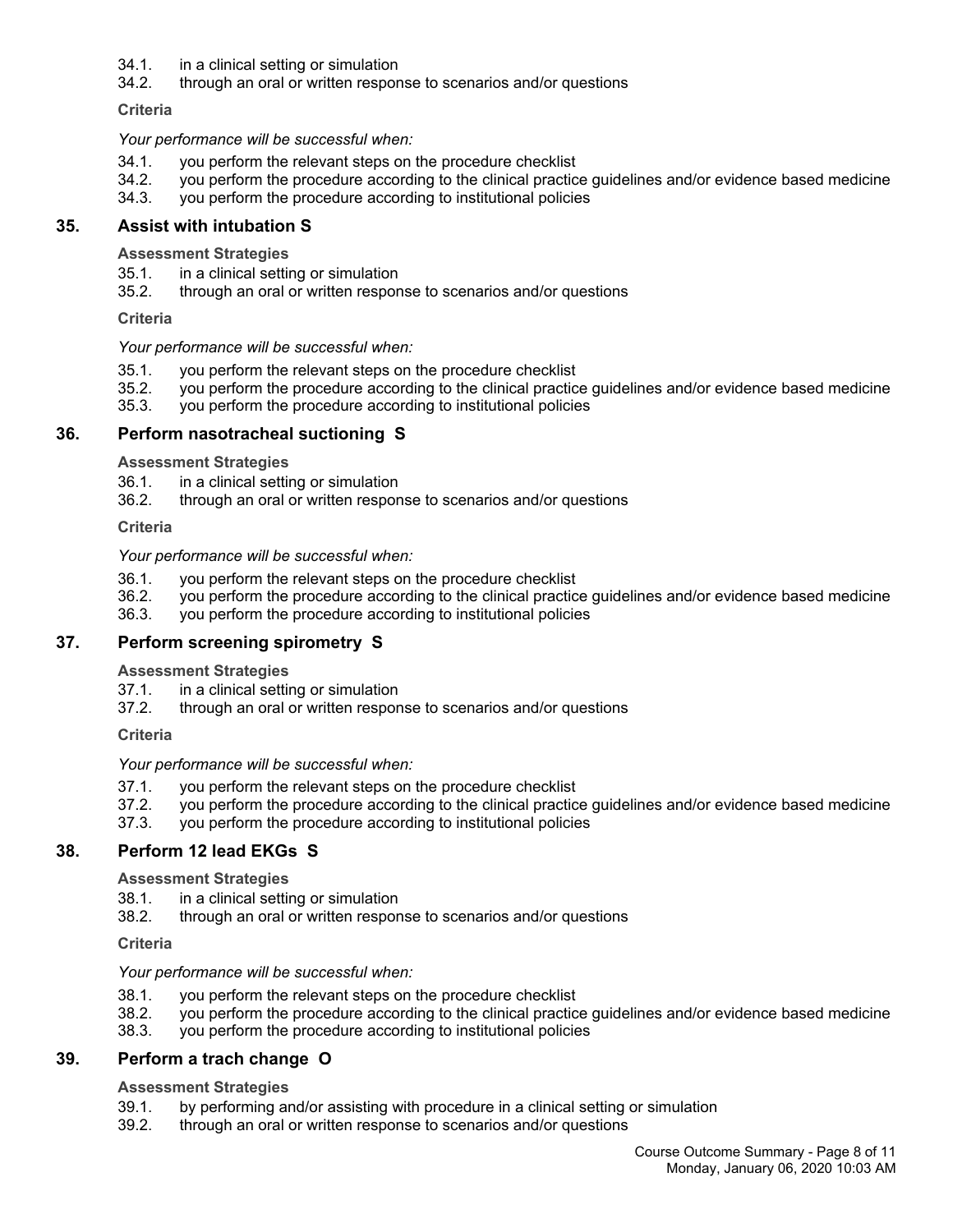- 34.1. in a clinical setting or simulation
- 34.2. through an oral or written response to scenarios and/or questions

**Criteria**

*Your performance will be successful when:*

- 34.1. you perform the relevant steps on the procedure checklist
- 34.2. you perform the procedure according to the clinical practice guidelines and/or evidence based medicine
- 34.3. you perform the procedure according to institutional policies

### **35. Assist with intubation S**

**Assessment Strategies**

- 35.1. in a clinical setting or simulation
- 35.2. through an oral or written response to scenarios and/or questions

**Criteria**

#### *Your performance will be successful when:*

- 35.1. you perform the relevant steps on the procedure checklist
- 35.2. you perform the procedure according to the clinical practice guidelines and/or evidence based medicine
- 35.3. you perform the procedure according to institutional policies

### **36. Perform nasotracheal suctioning S**

**Assessment Strategies**

- 36.1. in a clinical setting or simulation
- 36.2. through an oral or written response to scenarios and/or questions

**Criteria**

#### *Your performance will be successful when:*

- 36.1. you perform the relevant steps on the procedure checklist
- 36.2. you perform the procedure according to the clinical practice guidelines and/or evidence based medicine
- 36.3. you perform the procedure according to institutional policies

### **37. Perform screening spirometry S**

#### **Assessment Strategies**

- 37.1. in a clinical setting or simulation
- 37.2. through an oral or written response to scenarios and/or questions

**Criteria**

*Your performance will be successful when:*

- 37.1. you perform the relevant steps on the procedure checklist
- 37.2. you perform the procedure according to the clinical practice guidelines and/or evidence based medicine
- 37.3. you perform the procedure according to institutional policies

### **38. Perform 12 lead EKGs S**

#### **Assessment Strategies**

- 38.1. in a clinical setting or simulation
- 38.2. through an oral or written response to scenarios and/or questions

#### **Criteria**

#### *Your performance will be successful when:*

- 38.1. you perform the relevant steps on the procedure checklist
- 38.2. you perform the procedure according to the clinical practice guidelines and/or evidence based medicine
- 38.3. you perform the procedure according to institutional policies

### **39. Perform a trach change O**

### **Assessment Strategies**

- 39.1. by performing and/or assisting with procedure in a clinical setting or simulation
- 39.2. through an oral or written response to scenarios and/or questions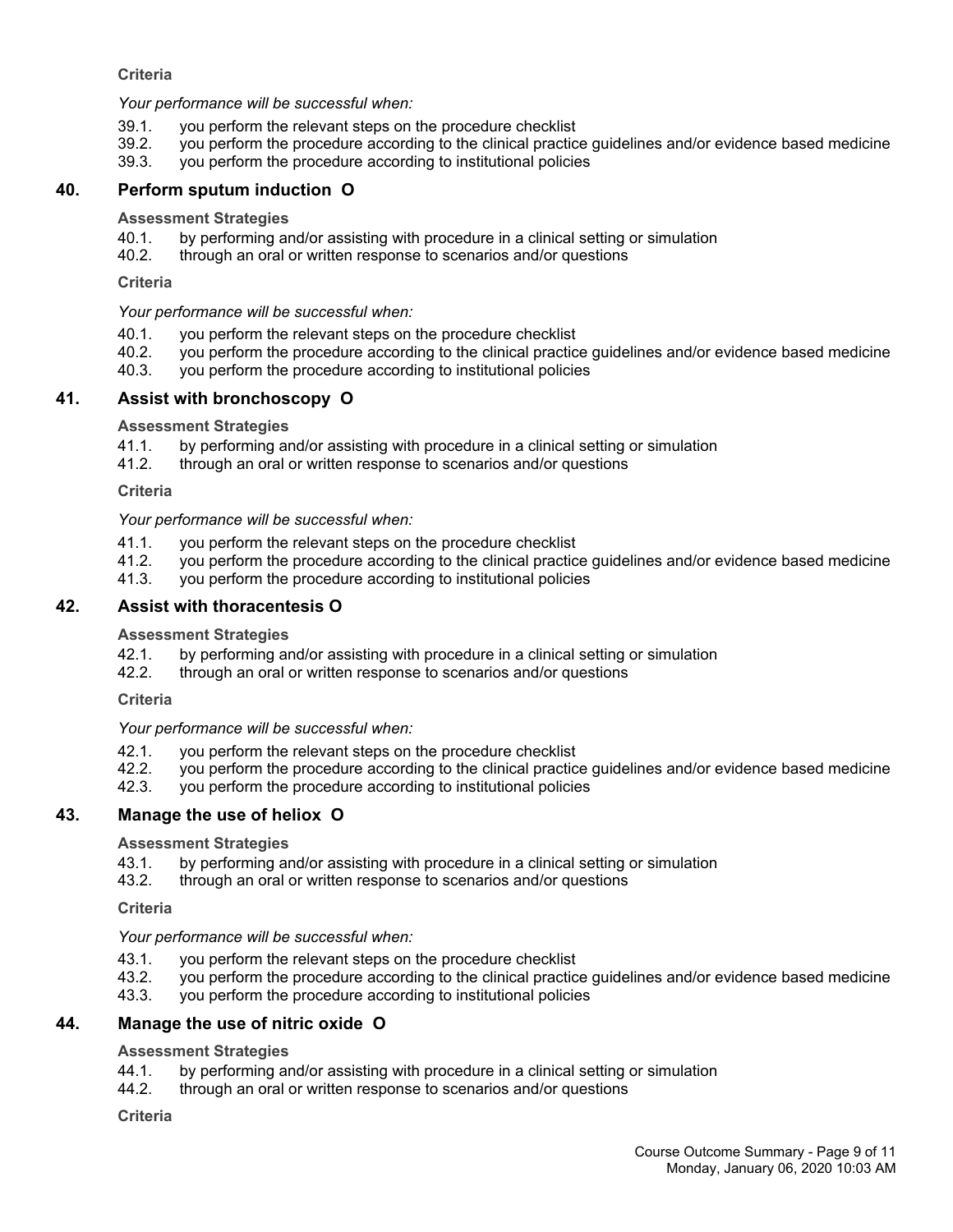### **Criteria**

*Your performance will be successful when:*

- 39.1. you perform the relevant steps on the procedure checklist
- 39.2. you perform the procedure according to the clinical practice guidelines and/or evidence based medicine
- 39.3. you perform the procedure according to institutional policies

### **40. Perform sputum induction O**

#### **Assessment Strategies**

- 40.1. by performing and/or assisting with procedure in a clinical setting or simulation
- 40.2. through an oral or written response to scenarios and/or questions

#### **Criteria**

*Your performance will be successful when:*

- 40.1. you perform the relevant steps on the procedure checklist
- 40.2. you perform the procedure according to the clinical practice guidelines and/or evidence based medicine
- 40.3. you perform the procedure according to institutional policies

### **41. Assist with bronchoscopy O**

#### **Assessment Strategies**

- 41.1. by performing and/or assisting with procedure in a clinical setting or simulation
- 41.2. through an oral or written response to scenarios and/or questions

#### **Criteria**

*Your performance will be successful when:*

- 41.1. you perform the relevant steps on the procedure checklist
- 41.2. you perform the procedure according to the clinical practice guidelines and/or evidence based medicine
- 41.3. you perform the procedure according to institutional policies

### **42. Assist with thoracentesis O**

#### **Assessment Strategies**

- 42.1. by performing and/or assisting with procedure in a clinical setting or simulation
- 42.2. through an oral or written response to scenarios and/or questions

#### **Criteria**

### *Your performance will be successful when:*

- 42.1. you perform the relevant steps on the procedure checklist
- 42.2. you perform the procedure according to the clinical practice guidelines and/or evidence based medicine<br>42.3. you perform the procedure according to institutional policies
- you perform the procedure according to institutional policies

### **43. Manage the use of heliox O**

#### **Assessment Strategies**

- 43.1. by performing and/or assisting with procedure in a clinical setting or simulation
- 43.2. through an oral or written response to scenarios and/or questions

#### **Criteria**

### *Your performance will be successful when:*

- 43.1. you perform the relevant steps on the procedure checklist
- 43.2. you perform the procedure according to the clinical practice guidelines and/or evidence based medicine
- 43.3. you perform the procedure according to institutional policies

### **44. Manage the use of nitric oxide O**

#### **Assessment Strategies**

- 44.1. by performing and/or assisting with procedure in a clinical setting or simulation
- 44.2. through an oral or written response to scenarios and/or questions

#### **Criteria**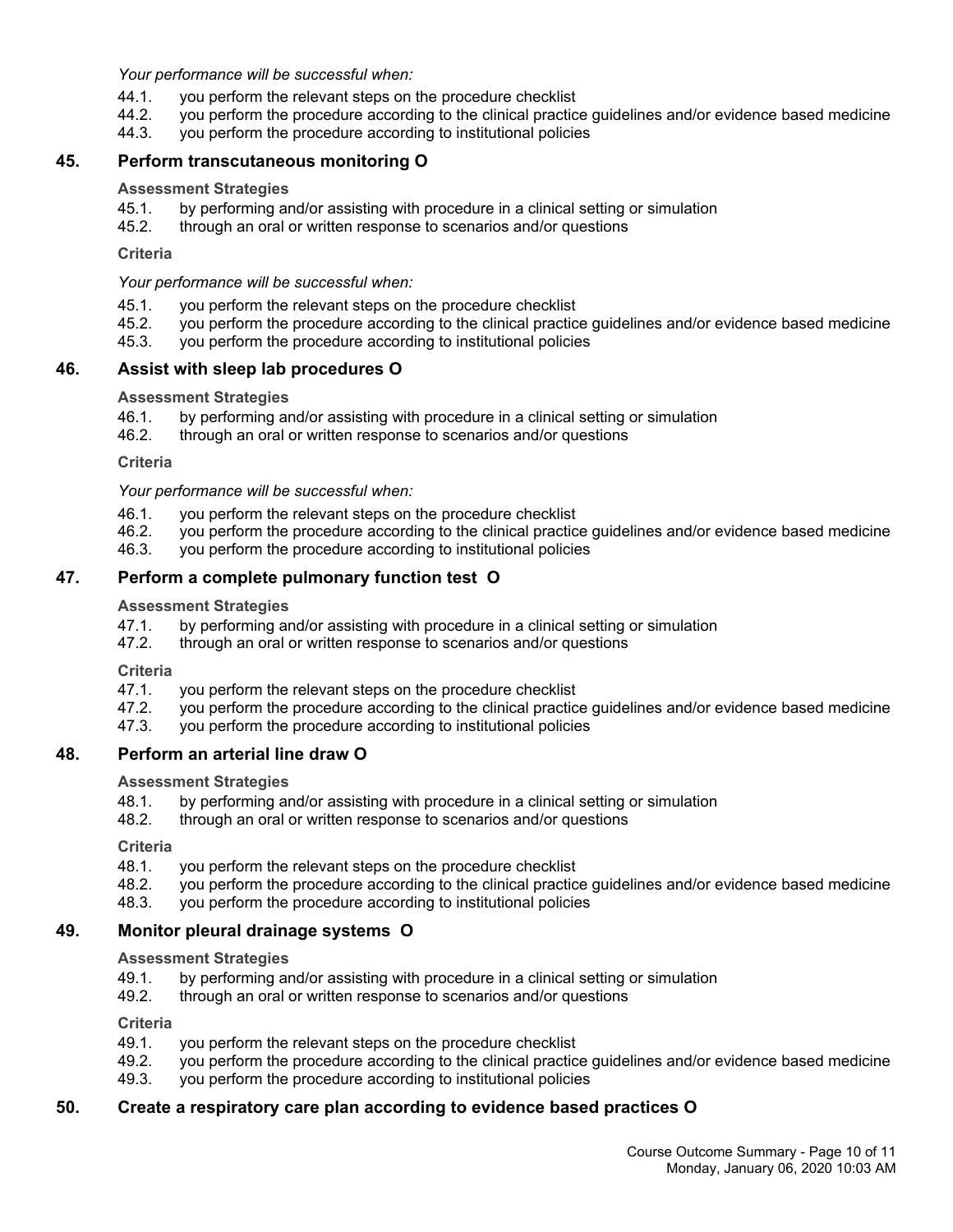*Your performance will be successful when:*

- 44.1. you perform the relevant steps on the procedure checklist
- 44.2. you perform the procedure according to the clinical practice guidelines and/or evidence based medicine
- 44.3. you perform the procedure according to institutional policies

### **45. Perform transcutaneous monitoring O**

#### **Assessment Strategies**

- 45.1. by performing and/or assisting with procedure in a clinical setting or simulation
- 45.2. through an oral or written response to scenarios and/or questions

**Criteria**

*Your performance will be successful when:*

- 45.1. you perform the relevant steps on the procedure checklist
- 45.2. you perform the procedure according to the clinical practice guidelines and/or evidence based medicine
- 45.3. you perform the procedure according to institutional policies

### **46. Assist with sleep lab procedures O**

#### **Assessment Strategies**

- 46.1. by performing and/or assisting with procedure in a clinical setting or simulation
- 46.2. through an oral or written response to scenarios and/or questions

**Criteria**

*Your performance will be successful when:*

- 46.1. you perform the relevant steps on the procedure checklist
- 46.2. you perform the procedure according to the clinical practice guidelines and/or evidence based medicine
- 46.3. you perform the procedure according to institutional policies

### **47. Perform a complete pulmonary function test O**

#### **Assessment Strategies**

- 47.1. by performing and/or assisting with procedure in a clinical setting or simulation
- 47.2. through an oral or written response to scenarios and/or questions

**Criteria**

- 47.1. you perform the relevant steps on the procedure checklist
- 47.2. you perform the procedure according to the clinical practice guidelines and/or evidence based medicine
- 47.3. you perform the procedure according to institutional policies

### **48. Perform an arterial line draw O**

**Assessment Strategies**

- 48.1. by performing and/or assisting with procedure in a clinical setting or simulation
- 48.2. through an oral or written response to scenarios and/or questions

**Criteria**

- 48.1. you perform the relevant steps on the procedure checklist
- 48.2. you perform the procedure according to the clinical practice guidelines and/or evidence based medicine
- 48.3. you perform the procedure according to institutional policies

### **49. Monitor pleural drainage systems O**

**Assessment Strategies**

- 49.1. by performing and/or assisting with procedure in a clinical setting or simulation
- 49.2. through an oral or written response to scenarios and/or questions

**Criteria**

- 49.1. you perform the relevant steps on the procedure checklist
- 49.2. you perform the procedure according to the clinical practice guidelines and/or evidence based medicine
- 49.3. you perform the procedure according to institutional policies

### **50. Create a respiratory care plan according to evidence based practices O**